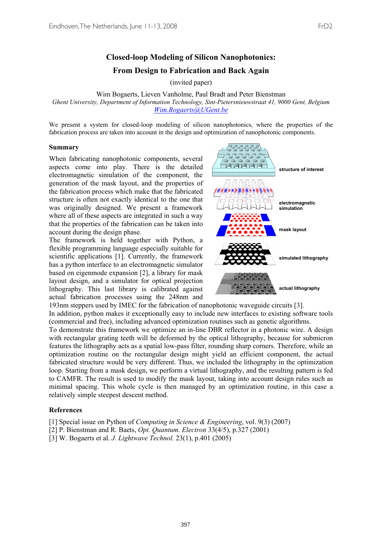## **Closed-loop Modeling of Silicon Nanophotonics: From Design to Fabrication and Back Again**

(invited paper)

Wim Bogaerts, Lieven Vanholme, Paul Bradt and Peter Bienstman *Ghent University, Department of Information Technology, Sint-Pietersnieuwstraat 41, 9000 Gent, Belgium Wim.Bogaerts@UGent.be*

We present a system for closed-loop modeling of silicon nanophotonics, where the properties of the fabrication process are taken into account in the design and optimization of nanophotonic components.

## **Summary**

When fabricating nanophotonic components, several aspects come into play. There is the detailed electromagnetic simulation of the component, the generation of the mask layout, and the properties of the fabrication process which make that the fabricated structure is often not exactly identical to the one that was originally designed. We present a framework where all of these aspects are integrated in such a way that the properties of the fabrication can be taken into account during the design phase.

The framework is held together with Python, a flexible programming language especially suitable for scientific applications [1]. Currently, the framework has a python interface to an electromagnetic simulator based on eigenmode expansion [2], a library for mask layout design, and a simulator for optical projection lithography. This last library is calibrated against actual fabrication processes using the 248nm and



193nm steppers used by IMEC for the fabrication of nanophotonic waveguide circuits [3]. In addition, python makes it exceptionally easy to include new interfaces to existing software tools (commercial and free), including advanced optimization routines such as genetic algorithms.

To demonstrate this framework we optimize an in-line DBR reflector in a photonic wire. A design with rectangular grating teeth will be deformed by the optical lithography, because for submicron features the lithography acts as a spatial low-pass filter, rounding sharp corners. Therefore, while an optimization routine on the rectangular design might yield an efficient component, the actual fabricated structure would be very different. Thus, we included the lithography in the optimization loop. Starting from a mask design, we perform a virtual lithography, and the resulting pattern is fed to CAMFR. The result is used to modify the mask layout, taking into account design rules such as minimal spacing. This whole cycle is then managed by an optimization routine, in this case a relatively simple steepest descent method.

## **References**

[1] Special issue on Python of *Computing in Science & Engineering*, vol. 9(3) (2007)

[2] P. Bienstman and R. Baets, *Opt. Quantum. Electron* 33(4/5), p.327 (2001)

[3] W. Bogaerts et al. *J. Lightwave Technol.* 23(1), p.401 (2005)